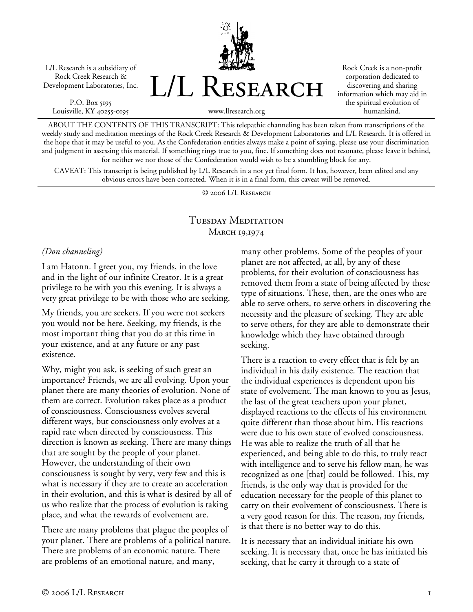L/L Research is a subsidiary of Rock Creek Research & Development Laboratories, Inc.

P.O. Box 5195 Louisville, KY 40255-0195 L/L Research

Rock Creek is a non-profit corporation dedicated to discovering and sharing information which may aid in the spiritual evolution of humankind.

www.llresearch.org

ABOUT THE CONTENTS OF THIS TRANSCRIPT: This telepathic channeling has been taken from transcriptions of the weekly study and meditation meetings of the Rock Creek Research & Development Laboratories and L/L Research. It is offered in the hope that it may be useful to you. As the Confederation entities always make a point of saying, please use your discrimination and judgment in assessing this material. If something rings true to you, fine. If something does not resonate, please leave it behind, for neither we nor those of the Confederation would wish to be a stumbling block for any.

CAVEAT: This transcript is being published by L/L Research in a not yet final form. It has, however, been edited and any obvious errors have been corrected. When it is in a final form, this caveat will be removed.

© 2006 L/L Research

## Tuesday Meditation MARCH 19,1974

## *(Don channeling)*

I am Hatonn. I greet you, my friends, in the love and in the light of our infinite Creator. It is a great privilege to be with you this evening. It is always a very great privilege to be with those who are seeking.

My friends, you are seekers. If you were not seekers you would not be here. Seeking, my friends, is the most important thing that you do at this time in your existence, and at any future or any past existence.

Why, might you ask, is seeking of such great an importance? Friends, we are all evolving. Upon your planet there are many theories of evolution. None of them are correct. Evolution takes place as a product of consciousness. Consciousness evolves several different ways, but consciousness only evolves at a rapid rate when directed by consciousness. This direction is known as seeking. There are many things that are sought by the people of your planet. However, the understanding of their own consciousness is sought by very, very few and this is what is necessary if they are to create an acceleration in their evolution, and this is what is desired by all of us who realize that the process of evolution is taking place, and what the rewards of evolvement are.

There are many problems that plague the peoples of your planet. There are problems of a political nature. There are problems of an economic nature. There are problems of an emotional nature, and many,

many other problems. Some of the peoples of your planet are not affected, at all, by any of these problems, for their evolution of consciousness has removed them from a state of being affected by these type of situations. These, then, are the ones who are able to serve others, to serve others in discovering the necessity and the pleasure of seeking. They are able to serve others, for they are able to demonstrate their knowledge which they have obtained through seeking.

There is a reaction to every effect that is felt by an individual in his daily existence. The reaction that the individual experiences is dependent upon his state of evolvement. The man known to you as Jesus, the last of the great teachers upon your planet, displayed reactions to the effects of his environment quite different than those about him. His reactions were due to his own state of evolved consciousness. He was able to realize the truth of all that he experienced, and being able to do this, to truly react with intelligence and to serve his fellow man, he was recognized as one [that] could be followed. This, my friends, is the only way that is provided for the education necessary for the people of this planet to carry on their evolvement of consciousness. There is a very good reason for this. The reason, my friends, is that there is no better way to do this.

It is necessary that an individual initiate his own seeking. It is necessary that, once he has initiated his seeking, that he carry it through to a state of